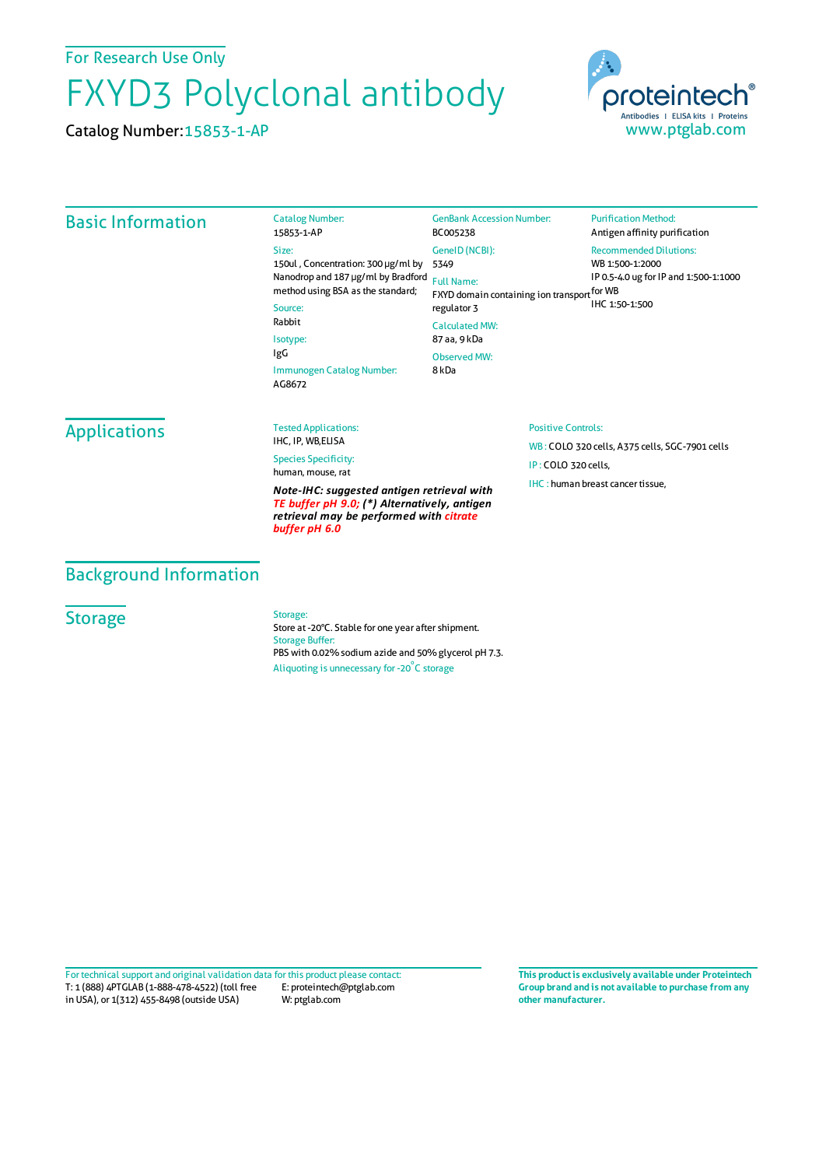For Research Use Only

# FXYD3 Polyclonal antibody

Catalog Number:15853-1-AP



## Basic Information

Catalog Number: 15853-1-AP Size: 150ul , Concentration: 300 μg/ml by 5349 Nanodrop and 187 μg/ml by Bradford Full Name: method using BSA as the standard; Source: Rabbit Isotype: IgG Immunogen Catalog Number: AG8672 GenBank Accession Number: BC005238 GeneID(NCBI): FXYD domain containing ion transport for WB regulator 3 CalculatedMW: 87 aa, 9 kDa ObservedMW: 8 kDa

#### **Purification Method:** Antigen affinity purification

### Recommended Dilutions:

WB 1:500-1:2000 IP 0.5-4.0 ug for IP and 1:500-1:1000

IHC 1:50-1:500

## Applications

#### Tested Applications: IHC, IP, WB,ELISA

Species Specificity: human, mouse, rat

*Note-IHC: suggested antigen retrieval with TE buffer pH 9.0; (\*) Alternatively, antigen retrieval may be performed with citrate buffer pH 6.0*

#### Positive Controls:

WB : COLO 320 cells, A375 cells, SGC-7901 cells IP : COLO 320 cells, IHC : human breast cancer tissue,

## Background Information

## **Storage**

#### Storage:

Store at -20°C. Stable for one year after shipment. Storage Buffer: PBS with 0.02% sodium azide and 50% glycerol pH 7.3. Aliquoting is unnecessary for -20<sup>°</sup>C storage

T: 1 (888) 4PTGLAB (1-888-478-4522) (toll free in USA), or 1(312) 455-8498 (outside USA) E: proteintech@ptglab.com W: ptglab.com Fortechnical support and original validation data forthis product please contact: **This productis exclusively available under Proteintech**

**Group brand and is not available to purchase from any other manufacturer.**